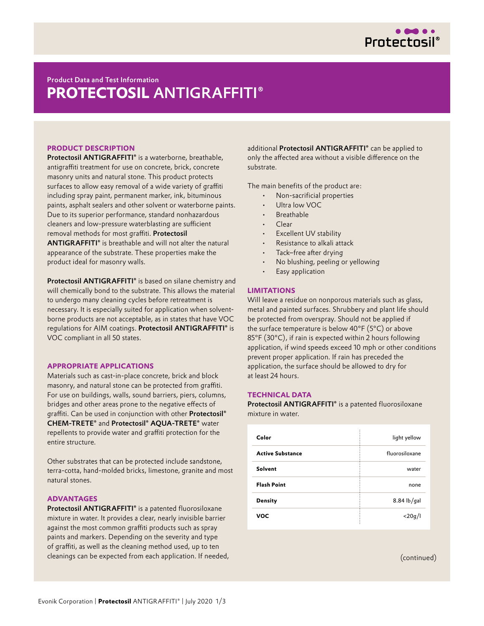

# Product Data and Test Information **PROTECTOSIL®** ANTIGRAFFITI **PROTECTOSIL** ANTIGRAFFITI®

# **PRODUCT DESCRIPTION**

Protectosil ANTIGRAFFITI® is a waterborne, breathable, antigraffiti treatment for use on concrete, brick, concrete masonry units and natural stone. This product protects surfaces to allow easy removal of a wide variety of graffiti including spray paint, permanent marker, ink, bituminous paints, asphalt sealers and other solvent or waterborne paints. Due to its superior performance, standard nonhazardous cleaners and low-pressure waterblasting are sufficient removal methods for most graffiti. Protectosil ANTIGRAFFITI® is breathable and will not alter the natural appearance of the substrate. These properties make the

product ideal for masonry walls.

Protectosil ANTIGRAFFITI® is based on silane chemistry and will chemically bond to the substrate. This allows the material to undergo many cleaning cycles before retreatment is necessary. It is especially suited for application when solventborne products are not acceptable, as in states that have VOC regulations for AIM coatings. Protectosil ANTIGRAFFITI® is VOC compliant in all 50 states.

# **APPROPRIATE APPLICATIONS**

Materials such as cast-in-place concrete, brick and block masonry, and natural stone can be protected from graffiti. For use on buildings, walls, sound barriers, piers, columns, bridges and other areas prone to the negative effects of graffiti. Can be used in conjunction with other Protectosil® CHEM-TRETE® and Protectosil® AQUA-TRETE® water repellents to provide water and graffiti protection for the entire structure.

Other substrates that can be protected include sandstone, terra-cotta, hand-molded bricks, limestone, granite and most natural stones.

#### **ADVANTAGES**

Protectosil ANTIGRAFFITI® is a patented fluorosiloxane mixture in water. It provides a clear, nearly invisible barrier against the most common graffiti products such as spray paints and markers. Depending on the severity and type of graffiti, as well as the cleaning method used, up to ten cleanings can be expected from each application. If needed, additional Protectosil ANTIGRAFFITI® can be applied to only the affected area without a visible difference on the substrate.

The main benefits of the product are:

- Non-sacrificial properties
- Ultra low VOC
- **Breathable**
- Clear
- Excellent UV stability
- Resistance to alkali attack
- Tack–free after drying
- No blushing, peeling or yellowing
- Easy application

## **LIMITATIONS**

Will leave a residue on nonporous materials such as glass, metal and painted surfaces. Shrubbery and plant life should be protected from overspray. Should not be applied if the surface temperature is below 40°F (5°C) or above 85°F (30°C), if rain is expected within 2 hours following application, if wind speeds exceed 10 mph or other conditions prevent proper application. If rain has preceded the application, the surface should be allowed to dry for at least 24 hours.

# **TECHNICAL DATA**

Protectosil ANTIGRAFFITI® is a patented fluorosiloxane mixture in water.

| Color                   | light yellow   |
|-------------------------|----------------|
| <b>Active Substance</b> | fluorosiloxane |
| Solvent                 | water          |
| <b>Flash Point</b>      | none           |
| <b>Density</b>          | $8.84$ lb/gal  |
| <b>VOC</b>              | $<$ 20q/l      |

(continued)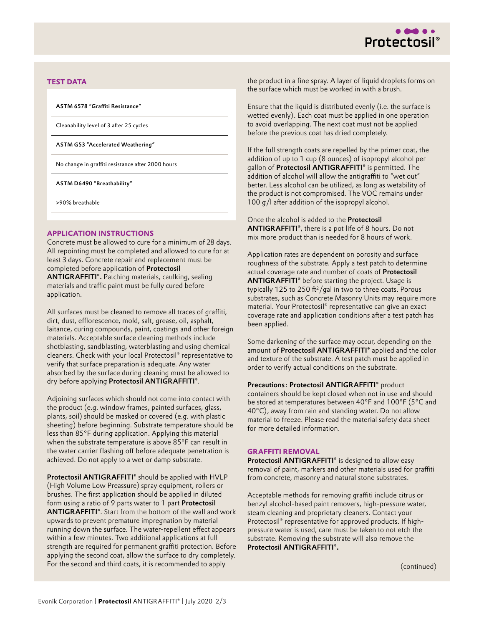

## **TEST DATA**

ASTM 6578 "Graffiti Resistance"

Cleanability level of 3 after 25 cycles

ASTM G53 "Accelerated Weathering"

No change in graffiti resistance after 2000 hours

ASTM D6490 "Breathability"

>90% breathable

#### **APPLICATION INSTRUCTIONS**

Concrete must be allowed to cure for a minimum of 28 days. All repointing must be completed and allowed to cure for at least 3 days. Concrete repair and replacement must be completed before application of Protectosil ANTIGRAFFITI®. Patching materials, caulking, sealing materials and traffic paint must be fully cured before application.

All surfaces must be cleaned to remove all traces of graffiti, dirt, dust, efflorescence, mold, salt, grease, oil, asphalt, laitance, curing compounds, paint, coatings and other foreign materials. Acceptable surface cleaning methods include shotblasting, sandblasting, waterblasting and using chemical cleaners. Check with your local Protectosil® representative to verify that surface preparation is adequate. Any water absorbed by the surface during cleaning must be allowed to dry before applying Protectosil ANTIGRAFFITI®.

Adjoining surfaces which should not come into contact with the product (e.g. window frames, painted surfaces, glass, plants, soil) should be masked or covered (e.g. with plastic sheeting) before beginning. Substrate temperature should be less than 85°F during application. Applying this material when the substrate temperature is above 85°F can result in the water carrier flashing off before adequate penetration is achieved. Do not apply to a wet or damp substrate.

Protectosil ANTIGRAFFITI® should be applied with HVLP (High Volume Low Preassure) spray equipment, rollers or brushes. The first application should be applied in diluted form using a ratio of 9 parts water to 1 part Protectosil ANTIGRAFFITI®. Start from the bottom of the wall and work upwards to prevent premature impregnation by material running down the surface. The water-repellent effect appears within a few minutes. Two additional applications at full strength are required for permanent graffiti protection. Before applying the second coat, allow the surface to dry completely. For the second and third coats, it is recommended to apply

the product in a fine spray. A layer of liquid droplets forms on the surface which must be worked in with a brush.

Ensure that the liquid is distributed evenly (i.e. the surface is wetted evenly). Each coat must be applied in one operation to avoid overlapping. The next coat must not be applied before the previous coat has dried completely.

If the full strength coats are repelled by the primer coat, the addition of up to 1 cup (8 ounces) of isopropyl alcohol per gallon of Protectosil ANTIGRAFFITI® is permitted. The addition of alcohol will allow the antigraffiti to "wet out" better. Less alcohol can be utilized, as long as wetability of the product is not compromised. The VOC remains under 100 g/l after addition of the isopropyl alcohol.

Once the alcohol is added to the Protectosil ANTIGRAFFITI®, there is a pot life of 8 hours. Do not mix more product than is needed for 8 hours of work.

Application rates are dependent on porosity and surface roughness of the substrate. Apply a test patch to determine actual coverage rate and number of coats of Protectosil ANTIGRAFFITI® before starting the project. Usage is typically 125 to 250 ft<sup>2</sup>/gal in two to three coats. Porous substrates, such as Concrete Masonry Units may require more material. Your Protectosil® representative can give an exact coverage rate and application conditions after a test patch has been applied.

Some darkening of the surface may occur, depending on the amount of Protectosil ANTIGRAFFITI® applied and the color and texture of the substrate. A test patch must be applied in order to verify actual conditions on the substrate.

Precautions: Protectosil ANTIGRAFFITI® product containers should be kept closed when not in use and should be stored at temperatures between 40°F and 100°F (5°C and 40°C), away from rain and standing water. Do not allow material to freeze. Please read the material safety data sheet for more detailed information.

## **GRAFFITI REMOVAL**

Protectosil ANTIGRAFFITI® is designed to allow easy removal of paint, markers and other materials used for graffiti from concrete, masonry and natural stone substrates.

Acceptable methods for removing graffiti include citrus or benzyl alcohol-based paint removers, high-pressure water, steam cleaning and proprietary cleaners. Contact your Protectosil® representative for approved products. If highpressure water is used, care must be taken to not etch the substrate. Removing the substrate will also remove the Protectosil ANTIGRAFFITI®.

(continued)